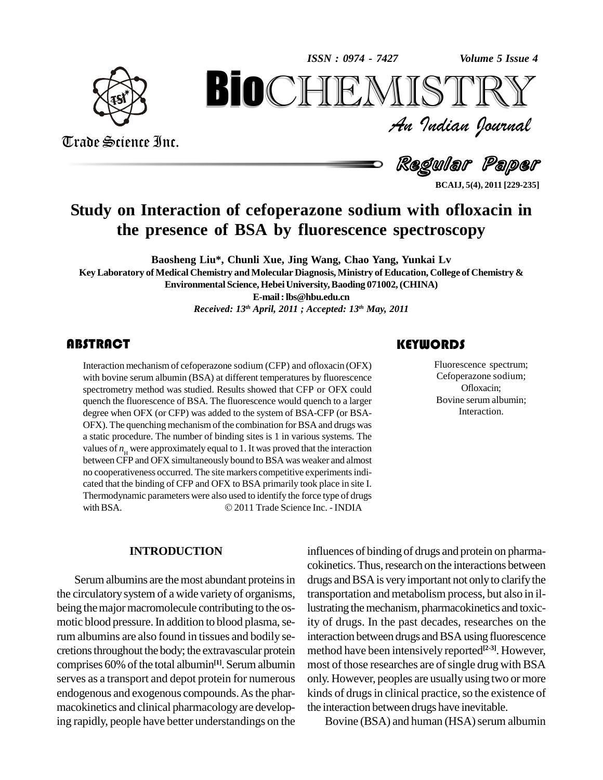*Volume 5 Issue 4*



Trade Science Inc.

Trade Science Inc.

An Indian Journal<br>Regular Paper *Volume 5 Issue 4*<br> $\begin{array}{c} \text{Volume 5 I} \\ \text{S} \text{I} \text{R} \text{R} \text{V} \end{array}$ **BIOCHEMISTRY**<br>Au Indian Journal<br>Regular Paper<br>on of cefoperazone sodium with ofloxacin in<br>e of BSA by fluorescence spectroscopy

**BCAIJ, 5(4), 2011 [229-235]**

## **Study on Interaction of cefoperazone sodium with ofloxacin in the presence of BSA by fluorescence spectroscopy**

**Baosheng Liu\*, Chunli Xue, Jing Wang, Chao Yang, Yunkai Lv KeyLaboratory ofMedical Chemistry andMolecular Diagnosis, Ministry ofEducation, College of Chemistry & Environmental Science, HebeiUniversity,Baoding 071002,(CHINA) E-mail:[lbs@hbu.edu.cn](mailto:lbs@hbu.edu.cn)** *Received: 13 th April, 2011 ; Accepted: 13 th May, 2011*

#### **ABSTRACT**

Interaction mechanism of<br>with bovine serum albumi<br>spectrometry method was Interaction mechanismof cefoperazone sodium (CFP) and ofloxacin (OFX) with bovine serum albumin (BSA) at different temperatures by fluorescence spectrometry method was studied. Results showed that CFP or OFX could quench the fluorescence of BSA. The fluorescence would quench to a larger degree when OFX (or CFP) was added to the system of BSA-CFP (or BSA- OFX). The quenching mechanism of the combination for BSA and drugs was a static procedure. The number of binding sites is 1 in various systems. The values of  $n<sub>H</sub>$  were approximately equal to 1. It was proved that the interaction betweenCFP and OFX simultaneously bound to BSA was weaker and almost no cooperativeness occurred. The site markers competitive experimentsindi cated that the binding of CFP and OFX to BSA primarily took place in site I.<br>Thermodynamic parameters were also used to identify the force type of drugs<br>with BSA.  $\odot$  2011 Trade Science Inc. - INDIA Thermodynamic parameters were also used to identify the force type of drugs

#### **INTRODUCTION**

Serum albumins are the most abundant proteins in the circulatorysystem of a wide variety of organisms, being the major macromolecule contributing to the osmotic blood pressure. In addition to blood plasma, serum albumins are also found in tissues and bodily se-cretionsthroughout the body; the extravascular protein comprises 60% of the total albumin<sup>[1]</sup>. Serum albumin most of serves as a transport and depot protein for numerous endogenous and exogenous compounds.Asthe phar macokinetics and clinical pharmacology are developing rapidly, people have better understandings on the

#### **KEYWORDS**

Fluorescence spec<br>Cefoperazone sod<br>Ofloxacin; Fluorescence spectrum; Cefoperazone sodium; Ofloxacin; Bovine serum albumin; Interaction.

influences of binding of drugs and protein on pharma cokinetics. Thus, research on the interactions between drugs and BSA is very important not only to clarify the transportation and metabolism process, but also in illustrating the mechanism, pharmacokinetics and toxicity of drugs. In the past decades, researches on the interaction between drugs and BSA using fluorescence method have been intensively reported **[2-3]**. However, most of those researches are of single drug with BSA only. However, peoples are usually using two or more kinds of drugs in clinical practice, so the existence of the interaction between drugs have inevitable.

Bovine (BSA) and human (HSA) serum albumin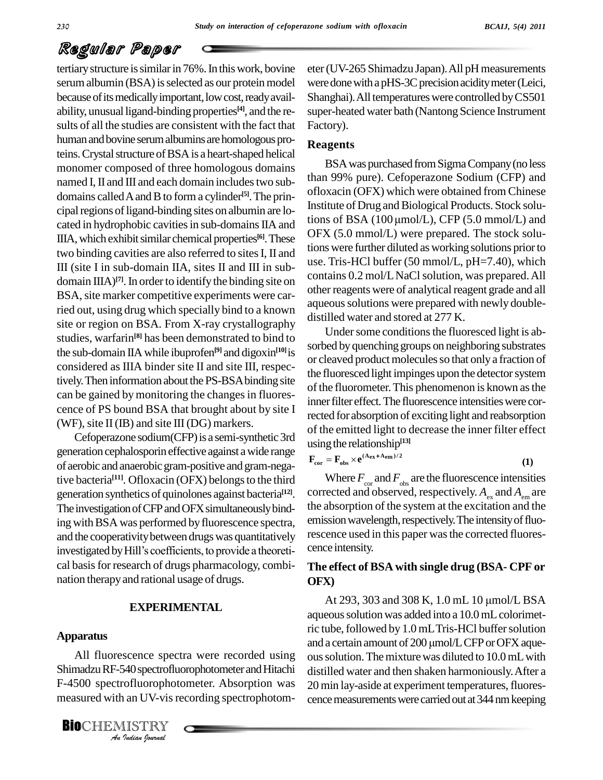tertiary structure is similar in 76%. In this work, bovine serum albumin (BSA) is selected as our protein model because of its medically important, low cost, ready availability, unusual ligand-binding properties **[4]**, and the re sults of all the studies are consistent with the fact that human and bovine serum albumins are homologous proteins.Crystalstructure ofBSAis a heart-shaped helical monomer composed of three homologous domains named I, II and III and each domain includes two subdomains calledAandBto form a cylinder **[5]**.The prin cated in hydrophobic cavities in sub-domains IIA and IIIA, which exhibit similar chemical properties<sup>[6]</sup>. These  $\mathbf{C}^{\Gamma\mathbf{A}}$ two binding cavities are also referred to sitesI, II and III (site I in sub-domain IIA, sites II and III in subdomain IIIA)<sup>[7]</sup>. In order to identify the binding site on BSA, site marker competitive experiments were carried out, using drug which specially bind to a known site or region on BSA. From X-ray crystallography studies, warfarin<sup>[8]</sup> has been demonstrated to bind to the sub-domain IIAwhile ibuprofen **[9]** and digoxin **[10]**is considered as IIIA binder site II and site III, respectively. Then information about the PS-BSA binding site can be gained by monitoring the changes in fluorescence of PS bound BSA that brought about by site I (WF), site II (IB) and site III (DG) markers.

Cefoperazone sodium(CFP) is a semi-synthetic 3rd generation cephalosporin effective against awide range of aerobic andanaerobic gram-positive and gram-negative bacteria<sup>[11]</sup>. Ofloxacin (OFX) belongs to the third Wh generation synthetics of quinolones against bacteria **[12]**. The investigation of CFP and OFX simultaneously binding with BSA was performed by fluorescence spectra, emiand the cooperativity between drugs was quantitatively resolutivestigated by Hill's coefficients, to provide a theoretiand the cooperativity between drugs was quantitatively cal basis for research of drugs pharmacology, combination therapyand rational usage of drugs.

#### **EXPERIMENTAL**

#### **Apparatus**

All fluorescence spectra were recorded using ous sol *Indian*<br>*I*ndian<br>*I*ndian *IV*-vision<br>*IISTRY*<br>*Indian Iournal* Shimadzu RF-540 spectrofluorophotometer and Hitachi F-4500 spectrofluorophotometer. Absorption was  $20 \text{ m}$ measured with an UV-vis recording spectrophotom-

**BIO**CHEMISTRY<br>An Indian Journal

eter (UV-265 Shimadzu Japan). All pH measurements were done with a pHS-3C precision acidity meter (Leici, Shanghai). All temperatures were controlled by CS501 super-heated water bath (Nantong Science Instrument Factory).

#### **Reagents**

cipal regions of ligand-binding sites on albumin are lo-<br>
and stores of BSA  $(100 \mu \text{mol/L})$ , CFP  $(5.0 \text{ mmol/L})$  and<br>
and stores in sub domains  $\text{II A}$  and stores of BSA  $(100 \mu \text{mol/L})$ , CFP  $(5.0 \text{ mmol/L})$  and BSAwaspurchased fromSigmaCompany(no less than 99% pure). Cefoperazone Sodium (CFP) and ofloxacin (OFX) which were obtained from Chinese Institute of Drug and Biological Products. Stock soluofloxacin (OFX) which were obtained from Chinese<br>Institute of Drug and Biological Products. Stock solu-<br>tions of BSA (100 µmol/L), CFP (5.0 mmol/L) and OFX (5.0 mmol/L) were prepared. The stock solutions were further diluted as working solutions priorto use. Tris-HCl buffer (50 mmol/L, pH=7.40), which contains 0.2 mol/L NaCl solution, was prepared. All other reagents were of analytical reagent grade and all aqueous solutions were prepared with newly doubledistilled water and stored at 277 K.

> Under some conditions the fluoresced light is absorbed byquenching groups on neighboring substrates or cleaved product molecules so that only a fraction of the fluoresced light impinges upon the detector system of the fluorometer. This phenomenon is known as the inner filter effect. The fluorescence intensities were corrected for absorption of exciting light and reabsorption % of the emitted light to decrease the inner filter effect<br>
> using the relationship<sup>[13]</sup><br>  $\mathbf{F}_{cor} = \mathbf{F}_{obs} \times \mathbf{e}^{(\mathbf{A}_{ex} + \mathbf{A}_{em})/2}$  (1) using the relationship<sup>[13]</sup> g the relationship<sup>[1</sup>]

$$
\mathbf{F}_{cor} = \mathbf{F}_{obs} \times \mathbf{e}^{(\mathbf{A}_{ex} + \mathbf{A}_{em})/2}
$$
 (1)

Where  $F_{\text{cor}}$  and  $F_{\text{obs}}$  are the fluorescence intensities corrected and observed, respectively.  $A_{\rm ex}$  and  $A_{\rm em}$  are the absorption of the system at the excitation and the emission wavelength, respectively. The intensity of fluorescence used in this paper was the corrected fluorescence intensity.

#### **The effect of BSA with single drug (BSA- CPF or OFX)**

At 293, 303 and 308 K,  $1.0$  mL  $10 \mu$ mol/L BSA aqueous solution was added into a 10.0 mL colorimetric tube, followed by 1.0 mL Tris-HCl buffer solution and a certain amount of 200 µmol/L CFP or OFX aqueous solution. The mixture was diluted to 10.0 mL with distilled water and then shaken harmoniously.After a 20 min lay-aside at experiment temperatures, fluorescence measurements were carried out at 344 nm keeping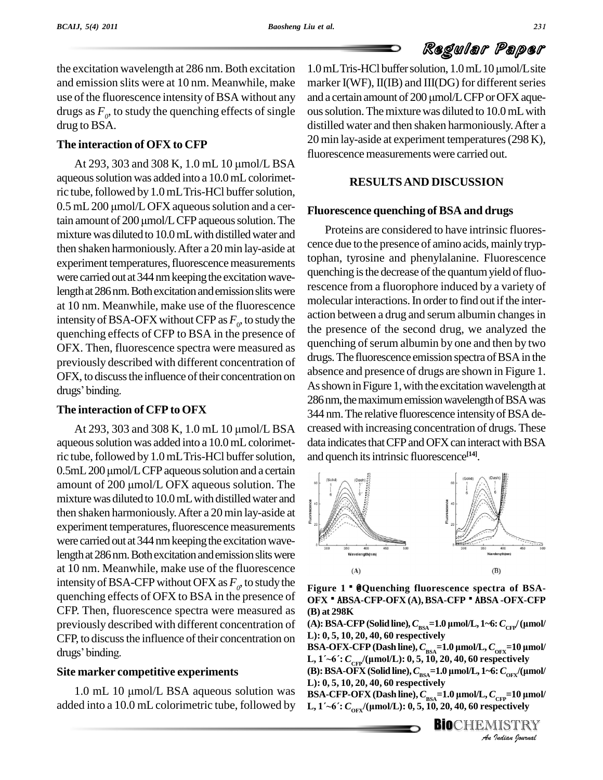the excitation wavelength at 286 nm. Both excitation and emission slits were at 10 nm. Meanwhile, make drugs as  $F$ <sup>0</sup>, to study the quenching effects of single ous so drug to BSA.

#### **The interaction of OFX to CFP**

At 293, 303 and 308 K,  $1.0$  mL  $10 \mu$ mol/L BSA aqueous solution was added into a 10.0 mL colorimet-<br>ric tube, followed by 1.0 mL Tris-HCl buffer solution,<br>0.5 mL 200 µmol/L OFX aqueous solution and a cerric tube, followed by 1.0 mL Tris-HCl buffer solution,<br>0.5 mL 200 µmol/L OFX aqueous solution and a ceraction amount of 200 µmol/L CFP aqueous solution. The mixture was diluted to 10.0 mL with distilled water and then shaken harmoniously.After a 20min lay-aside at experiment temperatures, fluorescence measurements were carried out at 344 nm keeping the excitation wavelength at 286 nm. Both excitation and emission slits were at 10 nm. Meanwhile, make use of the fluorescence intensity of BSA-OFX without CFP as  $F_0$ , to study the  $\frac{a}{b}$ quenching effects of CFP to BSA in the presence of OFX. Then, fluorescence spectra were measured as previously described with different concentration of<br>OFX, to discuss the influence of their concentration on<br>drugs' binding. OFX, to discuss the influence of their concentration on

#### **The interaction of CFP to OFX**

drugs' binding.<br> **The interaction of CFP to OFX**<br>
At 293, 303 and 308 K, 1.0 mL 10  $\mu$ mol/L BSA aqueous solution was added into a 10.0 mL colorimetric tube, followed by 1.0 mL Tris-HCl buffer solution, aqueous solution was added into a 10.0 mL colorimet-<br>ric tube, followed by 1.0 mL Tris-HCl buffer solution, and que<br>0.5mL 200 µmol/L CFP aqueous solution and a certain ric tube, followed by 1.0 mL Tris-HCl buffer solution, and quality 0.5 mL 200 µmol/L CFP aqueous solution and a certain amount of 200 µmol/L OFX aqueous solution. The mixture was diluted to 10.0 mL with distilled water and then shaken harmoniously.After a 20min lay-aside at experiment temperatures, fluorescence measurements were carried out at 344 nm keeping the excitation wavelength at 286 nm. Both excitation and emission slits were at 10 nm. Meanwhile, make use of the fluorescence intensity of BSA-CFP without OFX as  $F$ <sup>0</sup>, to study the Figure quenching effects of OFX to BSA in the presence of CFP. Then, fluorescence spectra were measured as previously described with different concentration of CFP, to discuss the influence of their concentration on  $\mathbf{L}$ : 0, 5, previously describe<br>CFP, to discuss the i<br>drugs' binding.

#### **Site marker competitive experiments**

added into a 10.0 mL colorimetric tube, followed by  $L, 1' \sim 6$ :  $C_{.0ex}/(\mu$ mol/L): 0, 5, 10, 20, 40, 60 respectively

use of the fluorescence intensity of BSA without any and a certain amount of 200 µmol/L CFP or OFX aque- $1.0$  mL Tris-HCl buffer solution,  $1.0$  mL  $10 \mu$ mol/L site marker  $I(WF)$ ,  $II(B)$  and  $III(DG)$  for different series 1.0 mL Tris-HCl buffer solution, 1.0 mL 10 µmol/L site<br>marker I(WF), II(IB) and III(DG) for different series<br>and a certain amount of 200 µmol/L CFP or OFX aqueoussolution.Themixturewas diluted to 10.0mLwith distilled water and then shaken harmoniously.After a 20 min lay-aside at experiment temperatures(298 K), fluorescence measurements were carried out.

#### **RESULTSAND DISCUSSION**

#### **Fluorescence quenching of BSA and drugs**

Proteins are considered to have intrinsic fluores cence due to the presence of amino acids, mainly tryptophan, tyrosine and phenylalanine. Fluorescence quenching is the decrease of the quantum yield of fluorescence from a fluorophore induced by a variety of molecular interactions. In order to find out if the interaction between a drug and serum albumin changes in the presence of the second drug, we analyzed the quenching of serum albumin by one and then by two drugs. The fluorescence emission spectra of BSA in the absence and presence of drugs are shown in Figure 1. As shown in Figure 1, with the excitation wavelength at 286 nm, the maximum emission wavelength of BSA was 344 nm. The relative fluorescence intensity of BSA decreased with increasing concentration of drugs. These data indicates that CFP and OFX can interact with BSA and quench its intrinsic fluorescence<sup>[14]</sup>.



**Figure 1**Å@**Quenching fluorescence spectra of BSA-** OFXÅ ABSA-CFP-OFX (A), BSA-CFPÅ ABSA -OFX-CFP<br>(B) at 298K<br>(A): BSA-CFP (Solid line), C<sub>rsa</sub>=1.0 µmol/L, 1~6: C<sub>crp</sub>/ (µmol/ **(B) at 298K (B)** at 298K<br>(B) at 298K<br>(A): BSA-CFP (Solid line), *C*<sub>BSA</sub>=1.0 μmol/L, 1~6: *C*<sub>CFP</sub>/ (μmol

**L): 0, 5, 10, 20, 40, 60 respectively** (A): BSA-CFP (Solid line),  $C_{\rm BSA}$ =1.0  $\mu$ mol/L, 1~6:  $C_{\rm CFP}$ / ( $\mu$ mol/L): 0, 5, 10, 20, 40, 60 respectively<br>BSA-OFX-CFP (Dash line),  $C_{\rm BSA}$ =1.0  $\mu$ mol/L,  $C_{\rm OFX}$ =10  $\mu$ mol/

**L): 0, 5, 10, 20, 40, 60 respectively<br>BSA-OFX-CFP (Dash line),**  $C_{\rm \scriptscriptstyle BSA}\!\!=\!\!1.0$  **μmol/L,**  $C_{\rm \scriptscriptstyle OFX}\!\!=\!\!10$  **μmol/<br>L, 1´~6´:**  $C_{\rm \scriptscriptstyle CFP}$ **/(μmol/L): 0, 5, 10, 20, 40, 60 respectively** *Indian*<br>Pectively<br>*I*<sub>CFF</sub>=10 µmol/<br>pectively<br>IISTRY<br>Indian Iournal drugs' binding.<br>
1.0 mL 10  $\mu$ mol/L BSA aqueous solution was<br>
1.0 mL 10  $\mu$ mol/L BSA aqueous solution was<br>
1.0 mL 10  $\mu$ mol/L BSA aqueous solution was<br>
1.0 mL 10  $\mu$ mol/L BSA aqueous solution was<br>
1.0 mL 10  $\mu$ mol/L **ESA-OFX-CFP** (Dash line),  $C_{BSA} = 1.0 \mu$ mol/L,  $C_{OFX} = 10 \mu$ mol/<br>L, 1´~6´:  $C_{CFP}/(\mu$ mol/L): 0, 5, 10, 20, 40, 60 respectively<br>(B): BSA-OFX (Solid line),  $C_{BSA} = 1.0 \mu$ mol/L, 1~6:  $C_{OFX}/(\mu$ mol/ **BSA-OFX-CFP** (Dash line),  $C_{BSA}$ =1.0  $\mu$ mol/L,  $C_{OFX}$ =10  $\mu$ mol/

**L): 0, 5, 10, 20, 40, 60 respectively (B): BSA-OFX** (Solid line),  $C_{BSA} = 1.0$  μmol/L, 1~6:  $C_{OFX}$ /(μmol/L): 0, 5, 10, 20, 40, 60 respectively<br>BSA-CFP-OFX (Dash line),  $C_{BSA} = 1.0$  μmol/L,  $C_{CFP} = 10$  μmol/

L): 0, 5, 10, 20, 40, 60 respectively<br>BSA-CFP-OFX (Dash line), C<sub>BSA</sub>=1.0 µmol/L, C<sub>CFP</sub>=10 µ<br>L, 1´~6´: C<sub>OFX</sub>/(µmol/L): 0, 5, 10, 20, 40, 60 respectively

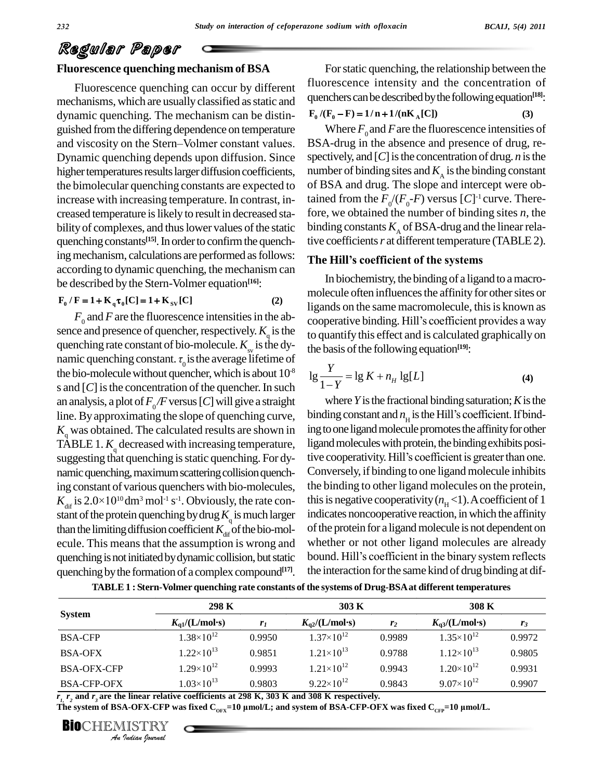#### **Fluorescence quenching mechanism of BSA**

Fluorescence quenching can occur by different mechanisms, which are usually classified as static and dynamic quenching. The mechanism can be distin guished from the differing dependence on temperature W dynamic quenching. The mechanism can be distinguished from the differing dependence on temperature and viscosity on the Stern–Volmer constant values. B: Dynamic quenching depends upon diffusion. Since higher temperatures results larger diffusion coefficients, the bimolecular quenching constants are expected to increase with increasing temperature. In contrast, in creased temperature islikely to result in decreased sta bility of complexes, and thus lower values of the static quenching constants<sup>[15]</sup>. In order to confirm the quenching mechanism, calculations are performed as follows: The Hill's coefficient of the systems according to dynamic quenching, the mechanism can be described by the Stern-Volmer equation<sup>[16]</sup>:<br>  $\mathbf{F}_0 / \mathbf{F} = 1 + \mathbf{K}_q \tau_0[\mathbf{C}] = 1 + \mathbf{K}_{sv}[\mathbf{C}]$  (2)

$$
F_0 / F = 1 + K_a \tau_0 [C] = 1 + K_{SV} [C]
$$
 (2)

 $F_0$  and *F* are the fluorescence intensities in the absorper sence and presence of quencher, respectively.  $K_q$  is the to qua quenching rate constant of bio-molecule.  $K_{\rm sv}$  is the dysence and presence of quencher, respectively.  $K_q$  is the to q<br>quenching rate constant of bio-molecule.  $K_{sw}$  is the dy-<br>namic quenching constant.  $\tau_0$  is the average lifetime of the bio-molecule without quencher, which is about  $10^8$   $_{19}$   $_{-}$ s and  $[C]$  is the concentration of the quencher. In such an analysis, a plot of  $F_0/F$  versus [*C*] will give a straight line. Byapproximating the slope of quenching curve,  $K<sub>q</sub>$  was obtained. The calculated results are shown in ingto o TABLE 1.  $K_{\text{q}}$  decreased with increasing temperature, lig suggesting that quenching is static quenching. For dy- tive cooperativity. Hill's coefficient is greater than one. namic quenching, maximum scattering collision quenching constant of various quenchers with bio-molecules, mamic quenching, maximum scattering collision quench-<br>
ing constant of various quenchers with bio-molecules, the<br>  $K_{\text{dif}}$  is  $2.0 \times 10^{10} \text{dm}^3 \text{ mol}^{-1} \text{ s}^{-1}$ . Obviously, the rate con-<br>
this stant of the protein quenching by drug  $K<sub>q</sub>$  is much larger indithan the limiting diffusion coefficient  $K_{\text{dif}}$  of the bio-molecule. This means that the assumption is wrong and quenching is not initiated by dynamic collision, but static bound. Hill's coefficient in the binary system reflects quenching by the formation of a complex compound<sup>[17]</sup>. the i

For static quenching, the relationship between the fluorescence intensity and the concentration of quenchers can be described by the following equation<sup>[18]</sup>:<br>  $\mathbf{F}_0 / (\mathbf{F}_0 - \mathbf{F}) = 1/n + 1/(n\mathbf{K}_A[\mathbf{C}])$  (3)

$$
F_0 / (F_0 - F) = 1/n + 1/(nK_A[C])
$$
 (3)

Where  $F_0$  and *F* are the fluorescence intensities of BSA-drug in the absence and presence of drug, re spectively, and  $[C]$  is the concentration of drug. *n* is the number of binding sites and  $K_A$  is the binding constant of BSA and drug. The slope and intercept were obtained from the  $F_0/(F_0$ -*F*) versus [*C*]<sup>-1</sup> curve. Therefore, we obtained the number of binding sites *n*, the binding constants  $K_A$  of BSA-drug and the linear relative coefficients*r* atdifferent temperature (TABLE2). binding constants  $K_A$  of BSA-drug and the linearive coefficients  $r$  at different temperature (TAB<br>**The Hill's coefficient of the systems** 

In biochemistry, the binding of a ligand to amacro molecule often influences the affinity for other sites or ligands on the same macromolecule, this is known as molecule often influences the affinity for other sites or<br>ligands on the same macromolecule, this is known as<br>cooperative binding. Hill's coefficient provides a way to quantify this effect and iscalculated graphically on <sup>u</sup>

the basis of the following equation<sup>[19]</sup>:  
\n
$$
\lg \frac{Y}{1-Y} = \lg K + n_H \lg[L]
$$
\n(4)

where  $Y$  is the fractional binding saturation;  $K$  is the where *Y* is the fractional binding saturation; *K* is the binding constant and  $n<sub>H</sub>$  is the Hill's coefficient. If binding to one ligand molecule promotes the affinity for other ligand molecules with protein, the binding exhibits posiing to one ligand molecule promotes the affinity for other<br>ligand molecules with protein, the binding exhibits posi-<br>tive cooperativity. Hill's coefficient is greater than one. Conversely, if binding to one ligand molecule inhibits the binding to other ligand molecules on the protein, this is negative cooperativity  $(n<sub>H</sub> < 1)$ . A coefficient of 1 indicates noncooperative reaction, in which the affinity of the protein for a ligand molecule is not dependent on<br>whether or not other ligand molecules are already<br>bound. Hill's coefficient in the binary system reflects whether or not other ligand molecules are already the interaction for the same kind of drug binding at dif-

|                    | 298 K                 |                | 303 K                         |                | 308 K                 |        |  |
|--------------------|-----------------------|----------------|-------------------------------|----------------|-----------------------|--------|--|
| <b>System</b>      | $K_{a1}/(L/mol·s)$    | r <sub>1</sub> | $K_{\alpha 2}/(L/mol\cdot s)$ | r <sub>2</sub> | $K_{a3}/(L/mol·s)$    | $r_3$  |  |
| <b>BSA-CFP</b>     | $1.38 \times 10^{12}$ | 0.9950         | $1.37\times10^{12}$           | 0.9989         | $1.35 \times 10^{12}$ | 0.9972 |  |
| <b>BSA-OFX</b>     | $1.22\times10^{13}$   | 0.9851         | $1.21 \times 10^{13}$         | 0.9788         | $1.12\times10^{13}$   | 0.9805 |  |
| <b>BSA-OFX-CFP</b> | $1.29\times10^{12}$   | 0.9993         | $1.21 \times 10^{12}$         | 0.9943         | $1.20\times10^{12}$   | 0.9931 |  |
| <b>BSA-CFP-OFX</b> | $1.03\times10^{13}$   | 0.9803         | $9.22\times10^{12}$           | 0.9843         | $9.07\times10^{12}$   | 0.9907 |  |

**TABLE1 : Stern-Volmer quenching rate constants of the systems of Drug-BSAat different temperatures**

**BIO**CHEMISTRY<br>An Indian Iournal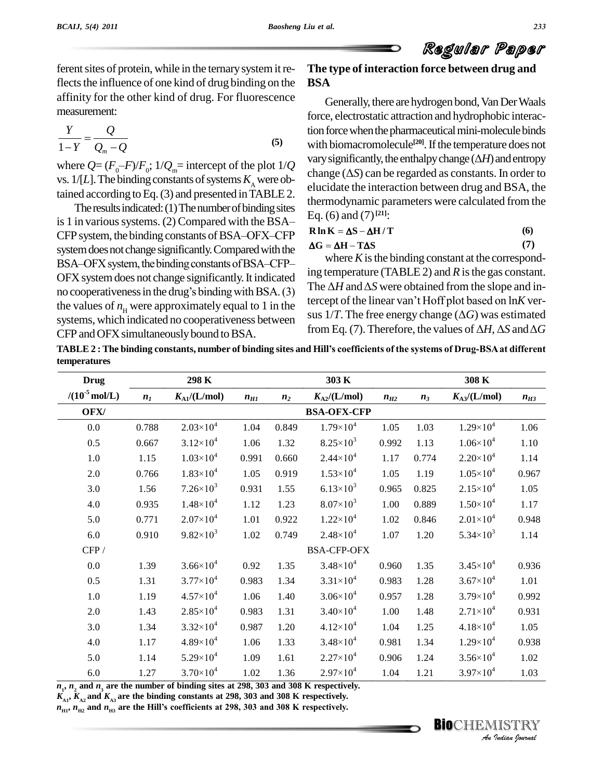ferent sites of protein, while in the ternary system it reflects the influence of one kind of drug binding on the affinity for the other kind of drug. For fluorescence measurement:  $\overline{\phantom{a}}$ 

$$
\frac{Y}{1-Y} = \frac{Q}{Q_m - Q}
$$
 (5) with biom  
where  $Q = (F_0 - F)/F_0$ ;  $1/Q_m$  = intercept of the plot  $1/Q$  (6)

where  $Q = (I_0 I)^{H} I_0$ ,  $I / Q_m$  intercept of the plot  $I / Q$  change ( $\Delta S$ ) can be regarded as constants. In order to vs. 1/[*L*]. The binding constants of systems  $K_A$  were ob-

tained according to Eq. (3) and presented in TABLE 2. The results indicated: (1) The number of binding sites is 1 in various systems. (2) Compared with the BSA $-$ The results indicated:  $(1)$  The number of binding sites is 1 in various systems. (2) Compared with the BSA $-$  Eq. (0) and (7)<br>CFP system, the binding constants of BSA-OFX–CFP<br>anten decade change similar contract of Compared with the  $\Delta G = \Delta H - T \Delta S$ system does not change significantly. Compared with the  $44 - 46 = 1$ CFP system, the binding constants of BSA–OFX–CFP<br>system does not change significantly. Compared with the  $\Delta G = \Delta$ <br>BSA–OFX system, the binding constants of BSA–CFP– OFX system does not change significantly. It indicated BSA-OFX system, the binding constants of BSA-CFP-<br>OFX system does not change significantly. It indicated<br>ing temperature (TABLE 2) and R is the gas constant.<br>no cooperativeness in the drug's binding with BSA. (3)<br>the  $\Delta H$ the values of  $n<sub>H</sub>$  were approximately equal to 1 in the systems, which indicated no cooperativeness between<br>  $\frac{\text{sus }1/1.1 \text{ ne tree energy change } (\Delta G) \text{ was estimated}}{\text{from Eq. (7). Therefore, the values of } \Delta H, \Delta S \text{ and } \Delta G}$ CFP and OFX simultaneously bound to BSA.

### **The type of interaction force between drug and BSA**

Generally, there are hydrogen bond, Van Der Waals force, electrostatic attraction and hydrophobic interaction force when the pharmaceutical mini-molecule binds with biomacromolecule<sup>[20]</sup>. If the temperature does not tion force when the pharmaceutical mini-molecule binds<br>with biomacromolecule<sup>[20]</sup>. If the temperature does not<br>vary significantly, the enthalpy change ( $\Delta H$ ) and entropy with biomacromolecule<sup>[20]</sup>. If the temperature does not<br>vary significantly, the enthalpy change  $(\Delta H)$  and entropy<br>change  $(\Delta S)$  can be regarded as constants. In order to elucidate the interaction between drug and BSA, the thermodynamic parameters were calculated from the<br>Eq. (6) and (7)<sup>[21]</sup>:<br>**R**  $\ln K = \Delta S - \Delta H / T$  (6) Eq. (6) and (7) **[21]**:

# $\ln K = \Delta S - \Delta H / T$  (6)<br>  $G = \Delta H - T \Delta S$  (7)

where  $K$  is the binding constant at the corresponding temperature (TABLE 2) and  $R$  is the gas constant. where *K* is the binding constant at the corresponding temperature (TABLE 2) and *R* is the gas constant.<br>The  $\Delta H$  and  $\Delta S$  were obtained from the slope and ining temperature (TABLE 2) and *R* is the gas constant.<br>The  $\Delta H$  and  $\Delta S$  were obtained from the slope and intercept of the linear van't Hoff plot based on ln*K* ver-The  $\Delta H$  and  $\Delta S$  were obtained from the slope and intercept of the linear van't Hoff plot based on  $\ln K$  versus  $1/T$ . The free energy change ( $\Delta G$ ) was estimated sus  $1/T$ . The free energy change  $(\Delta G)$  was estimated

TABLE 2: The binding constants, number of binding sites and Hill's coefficients of the systems of Drug-BSA at different **temperatures**

| $K_{\rm Al}/(L/mol)$<br>$2.03 \times 10^{4}$<br>0.788<br>$3.12 \times 10^{4}$<br>0.667<br>$1.03 \times 10^{4}$<br>$1.83 \times 10^{4}$<br>0.766<br>$7.26 \times 10^3$<br>$1.48 \times 10^{4}$<br>0.935<br>$2.07\times10^{4}$<br>0.771<br>$9.82 \times 10^3$<br>0.910<br>$3.66 \times 10^{4}$ | $n_{H1}$<br>1.04<br>1.06<br>0.991<br>1.05<br>0.931<br>1.12<br>1.01<br>$1.02\,$ | n <sub>2</sub><br>0.849<br>1.32<br>0.660<br>0.919<br>1.55<br>1.23<br>0.922<br>0.749 | $K_{\rm A2}/(L/\rm mol)$<br><b>BSA-OFX-CFP</b><br>$1.79\times10^{4}$<br>$8.25 \times 10^{3}$<br>$2.44 \times 10^{4}$<br>$1.53\times10^{4}$<br>$6.13\times10^{3}$<br>$8.07\times10^{3}$<br>$1.22 \times 10^{4}$<br>$2.48 \times 10^{4}$<br><b>BSA-CFP-OFX</b> | $n_{H2}$<br>1.05<br>0.992<br>1.17<br>1.05<br>0.965<br>1.00<br>1.02<br>1.07                                                                                                                                                                                                                                                                                                | $n_3$<br>1.03<br>1.13<br>0.774<br>1.19<br>0.825<br>0.889<br>0.846<br>1.20 | $K_{A3}/(L/mol)$<br>$1.29\times10^{4}$<br>$1.06 \times 10^{4}$<br>$2.20 \times 10^{4}$<br>$1.05 \times 10^4$<br>$2.15 \times 10^{4}$<br>$1.50\times10^{4}$<br>$2.01 \times 10^{4}$ | $n_{H3}$<br>1.06<br>1.10<br>1.14<br>0.967<br>1.05<br>1.17<br>0.948 |
|----------------------------------------------------------------------------------------------------------------------------------------------------------------------------------------------------------------------------------------------------------------------------------------------|--------------------------------------------------------------------------------|-------------------------------------------------------------------------------------|--------------------------------------------------------------------------------------------------------------------------------------------------------------------------------------------------------------------------------------------------------------|---------------------------------------------------------------------------------------------------------------------------------------------------------------------------------------------------------------------------------------------------------------------------------------------------------------------------------------------------------------------------|---------------------------------------------------------------------------|------------------------------------------------------------------------------------------------------------------------------------------------------------------------------------|--------------------------------------------------------------------|
|                                                                                                                                                                                                                                                                                              |                                                                                |                                                                                     |                                                                                                                                                                                                                                                              |                                                                                                                                                                                                                                                                                                                                                                           |                                                                           |                                                                                                                                                                                    |                                                                    |
|                                                                                                                                                                                                                                                                                              |                                                                                |                                                                                     |                                                                                                                                                                                                                                                              |                                                                                                                                                                                                                                                                                                                                                                           |                                                                           |                                                                                                                                                                                    |                                                                    |
|                                                                                                                                                                                                                                                                                              |                                                                                |                                                                                     |                                                                                                                                                                                                                                                              |                                                                                                                                                                                                                                                                                                                                                                           |                                                                           |                                                                                                                                                                                    |                                                                    |
|                                                                                                                                                                                                                                                                                              |                                                                                |                                                                                     |                                                                                                                                                                                                                                                              |                                                                                                                                                                                                                                                                                                                                                                           |                                                                           |                                                                                                                                                                                    |                                                                    |
|                                                                                                                                                                                                                                                                                              |                                                                                |                                                                                     |                                                                                                                                                                                                                                                              |                                                                                                                                                                                                                                                                                                                                                                           |                                                                           |                                                                                                                                                                                    |                                                                    |
|                                                                                                                                                                                                                                                                                              |                                                                                |                                                                                     |                                                                                                                                                                                                                                                              |                                                                                                                                                                                                                                                                                                                                                                           |                                                                           |                                                                                                                                                                                    |                                                                    |
|                                                                                                                                                                                                                                                                                              |                                                                                |                                                                                     |                                                                                                                                                                                                                                                              |                                                                                                                                                                                                                                                                                                                                                                           |                                                                           |                                                                                                                                                                                    |                                                                    |
|                                                                                                                                                                                                                                                                                              |                                                                                |                                                                                     |                                                                                                                                                                                                                                                              |                                                                                                                                                                                                                                                                                                                                                                           |                                                                           |                                                                                                                                                                                    |                                                                    |
|                                                                                                                                                                                                                                                                                              |                                                                                |                                                                                     |                                                                                                                                                                                                                                                              |                                                                                                                                                                                                                                                                                                                                                                           |                                                                           |                                                                                                                                                                                    |                                                                    |
|                                                                                                                                                                                                                                                                                              |                                                                                |                                                                                     |                                                                                                                                                                                                                                                              |                                                                                                                                                                                                                                                                                                                                                                           |                                                                           | 5.34 $\times$ 10 <sup>3</sup>                                                                                                                                                      | 1.14                                                               |
|                                                                                                                                                                                                                                                                                              |                                                                                |                                                                                     |                                                                                                                                                                                                                                                              |                                                                                                                                                                                                                                                                                                                                                                           |                                                                           |                                                                                                                                                                                    |                                                                    |
|                                                                                                                                                                                                                                                                                              | 0.92                                                                           | 1.35                                                                                | $3.48 \times 10^{4}$                                                                                                                                                                                                                                         | 0.960                                                                                                                                                                                                                                                                                                                                                                     | 1.35                                                                      | $3.45 \times 10^{4}$                                                                                                                                                               | 0.936                                                              |
| $3.77\times10^{4}$                                                                                                                                                                                                                                                                           | 0.983                                                                          | 1.34                                                                                | $3.31 \times 10^{4}$                                                                                                                                                                                                                                         | 0.983                                                                                                                                                                                                                                                                                                                                                                     | 1.28                                                                      | $3.67\times10^{4}$                                                                                                                                                                 | 1.01                                                               |
| $4.57\times10^{4}$                                                                                                                                                                                                                                                                           | 1.06                                                                           | 1.40                                                                                | $3.06 \times 10^{4}$                                                                                                                                                                                                                                         | 0.957                                                                                                                                                                                                                                                                                                                                                                     | 1.28                                                                      | $3.79 \times 10^{4}$                                                                                                                                                               | 0.992                                                              |
| $2.85 \times 10^{4}$                                                                                                                                                                                                                                                                         | 0.983                                                                          | 1.31                                                                                | $3.40\times10^{4}$                                                                                                                                                                                                                                           | 1.00                                                                                                                                                                                                                                                                                                                                                                      | 1.48                                                                      | $2.71 \times 10^{4}$                                                                                                                                                               | 0.931                                                              |
| $3.32 \times 10^{4}$                                                                                                                                                                                                                                                                         | 0.987                                                                          | 1.20                                                                                | $4.12 \times 10^{4}$                                                                                                                                                                                                                                         | 1.04                                                                                                                                                                                                                                                                                                                                                                      | 1.25                                                                      | $4.18 \times 10^{4}$                                                                                                                                                               | 1.05                                                               |
| $4.89\times10^{4}$                                                                                                                                                                                                                                                                           | 1.06                                                                           | 1.33                                                                                | $3.48 \times 10^{4}$                                                                                                                                                                                                                                         | 0.981                                                                                                                                                                                                                                                                                                                                                                     | 1.34                                                                      | $1.29 \times 10^{4}$                                                                                                                                                               | 0.938                                                              |
| $5.29 \times 10^{4}$                                                                                                                                                                                                                                                                         | 1.09                                                                           | 1.61                                                                                | $2.27 \times 10^{4}$                                                                                                                                                                                                                                         | 0.906                                                                                                                                                                                                                                                                                                                                                                     | 1.24                                                                      | $3.56 \times 10^{4}$                                                                                                                                                               | 1.02                                                               |
| $3.70 \times 10^{4}$                                                                                                                                                                                                                                                                         | 1.02                                                                           | 1.36                                                                                | $2.97\times10^{4}$                                                                                                                                                                                                                                           | 1.04                                                                                                                                                                                                                                                                                                                                                                      | 1.21                                                                      | $3.97 \times 10^{4}$                                                                                                                                                               | 1.03                                                               |
|                                                                                                                                                                                                                                                                                              |                                                                                |                                                                                     |                                                                                                                                                                                                                                                              | $n_1$ , $n_2$ and $n_3$ are the number of binding sites at 298, 303 and 308 K respectively.<br>$K_{\scriptscriptstyle{A1}}$ , $K_{\scriptscriptstyle{A2}}$ and $K_{\scriptscriptstyle{A3}}$ are the binding constants at 298, 303 and 308 K respectively.<br>$n_{\rm H1}$ , $n_{\rm H2}$ and $n_{\rm H3}$ are the Hill's coefficients at 298, 303 and 308 K respectively. |                                                                           |                                                                                                                                                                                    | <b>BIOCHEMIS</b>                                                   |

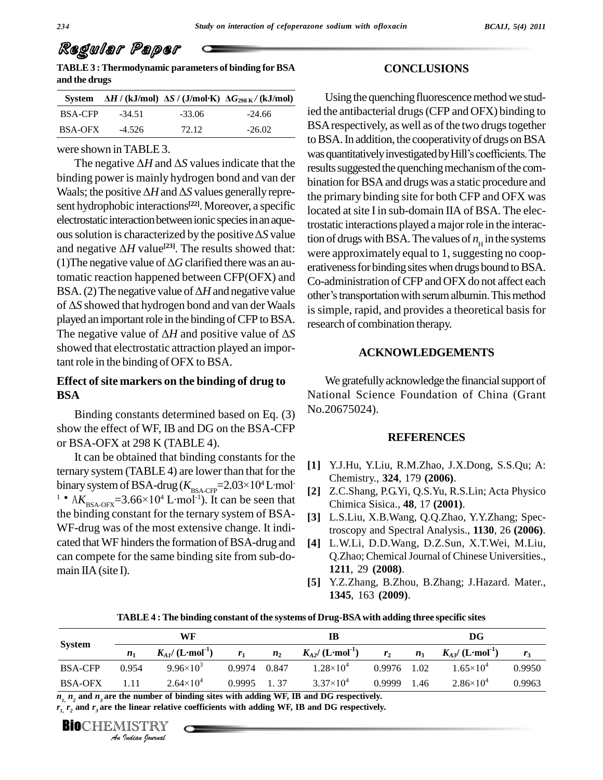**TABLE3 :Thermodynamic parameters of binding forBSA and the drugs System**  $\Delta H / (\text{kJ/mol}) \Delta S / (\text{J/mol·K}) \Delta G_{298 \text{ K}} / (\text{kJ/mol})$ 

|                |          |          | System $\Delta H / (kJ/mol) \Delta S / (J/mol·K) \Delta G_{298 K} / (kJ/mol)$ |
|----------------|----------|----------|-------------------------------------------------------------------------------|
| <b>BSA-CFP</b> | $-34.51$ | $-33.06$ | $-24.66$                                                                      |
| BSA-OFX        | $-4.526$ | 72.12    | $-26.02$                                                                      |

were shown inTABLE 3.

binding power is mainly hydrogen bond and van der bing The negative  $\Delta H$  and  $\Delta S$  values indicate that the resulting power is mainly hydrogen bond and van der bina<br>Waals; the positive  $\Delta H$  and  $\Delta S$  values generally represent hydrophobic interactions<sup>[22]</sup>. Moreover, a specific locate<br>electrostatic interaction between ionic species in an aque-<br>ous solution is characterized by the positive  $\Delta S$  value electrostatic interaction between ionic species in an aqueelectrostatic interaction between ionic species in an aque-<br>ous solution is characterized by the positive  $\Delta S$  value<br>and negative  $\Delta H$  value<sup>[23]</sup>. The results showed that: ous solution is characterized by the positive  $\Delta S$  value<br>and negative  $\Delta H$  value<sup>[23]</sup>. The results showed that: we<br>(1)The negative value of  $\Delta G$  clarified there was an automatic reaction happened between CFP(OFX) and  $C_{0}$ -adr (1) The negative value of  $\Delta G$  clarified there was an automatic reaction happened between CFP(OFX) and Co-ad BSA. (2) The negative value of  $\Delta H$  and negative value tomatic reaction happened between CFP(OFX) and<br>BSA. (2) The negative value of  $\Delta H$  and negative value<br>of  $\Delta S$  showed that hydrogen bond and van der Waals played an important role in the binding of CFP to BSA.  $_{\text{rel}}$ of  $\Delta S$  showed that hydrogen bond and van der Waals<br>played an important role in the binding of CFP to BSA.<br>The negative value of  $\Delta H$  and positive value of  $\Delta S$ showed that electrostatic attraction played an important role in the binding of OFX to BSA.

#### **Effect of site markers on the binding of drug to BSA**

Binding constants determined based on Eq. (3) show the effect of WF, IB and DG on the BSA-CFP or BSA-OFX at 298 K (TABLE 4).

It can be obtained that binding constants for the ternary system  $(TABLE 4)$  are lower than that for the It can be obtained that binding constants for the<br>ternary system (TABLE 4) are lower than that for the<br>binary system of BSA-drug ( $K_{BSA-CFP}$ =2.03×10<sup>4</sup>L·mol [2] ternary system (TABLE 4) are lower<br>binary system of BSA-drug ( $K_{\text{BSA-CFY}}$ <sup>1</sup>Å A $K_{\text{BSA-OFX}}$ =3.66×10<sup>4</sup> L·mol<sup>-1</sup>). It <sup>1</sup>Å  $AK_{BSA-OFX}$ =3.66×10<sup>4</sup> L·mol<sup>-1</sup>). It can be seen that the binding constant for the ternary system of BSA- WF-drug was of the most extensive change. It indi cated that WF hinders the formation of BSA-drug and can compete for the same binding site from sub-do-main IIA(site I).

#### **CONCLUSIONS**

Using the quenching fluorescence method we studied the antibacterial drugs(CFP and OFX) binding to BSA respectively, as well as of the two drugs together<br>to BSA. In addition, the cooperativity of drugs on BSA<br>was quantitatively investigated by Hill's coefficients. The to BSA. In addition, the cooperativity of drugs on BSA results suggested the quenching mechanism of the combination for BSA and drugs was a static procedure and the primary binding site for both CFP and OFX was located at site I in sub-domain IIA of BSA. The electrostatic interactions played amajorrole in the interaction of drugs with BSA. The values of  $n_{\rm H}$  in the systems were approximately equal to 1, suggesting no cooperativeness for binding sites when drugs bound to BSA. Co-administration ofCFP and OFX do not affect each erativeness for binding sites when drugs bound to BSA.<br>Co-administration of CFP and OFX do not affect each<br>other's transportation with serum albumin. This method is simple, rapid, and provides a theoretical basis for research of combination therapy.  $\frac{1}{2}$  was quantitatively investigated by Hill's coefficients. The negative  $\Delta H$  and  $\Delta S$  values indicate that the negative suggested the quanching mechanism of the com-

#### **ACKNOWLEDGEMENTS**

We gratefully acknowledge the financial support of National Science Foundation of China (Grant No.20675024).

#### **REFERENCES**

- **[1]** Y.J.Hu, Y.Liu, R.M.Zhao, J.X.Dong, S.S.Qu; A: Chemistry., **324**, 179 **(2006)**.
- **[2]** Z.C.Shang, P.G.Yi, Q.S.Yu, R.S.Lin; Acta Physico Chimica Sisica., **48**, 17 **(2001)**.
- **[3]** L.S.Liu, X.B.Wang, Q.Q.Zhao, Y.Y.Zhang; Spectroscopy and Spectral Analysis., **1130**, 26 **(2006)**.
- **[4]** L.W.Li, D.D.Wang, D.Z.Sun, X.T.Wei, M.Liu, Q.Zhao; Chemical Journal of Chinese Universities., **1211**, 29 **(2008)**.
- **[5]** Y.Z.Zhang, B.Zhou, B.Zhang; J.Hazard. Mater., **1345**, 163 **(2009)**.

**TABLE 4 : The binding constant of the systems of Drug-BSAwith adding three specific sites**

|                                 | WF                                           |                                          |                | IB                                           |                |                                                                                                                                                                                                       | $\mathbf{D}\mathbf{G}$        |        |
|---------------------------------|----------------------------------------------|------------------------------------------|----------------|----------------------------------------------|----------------|-------------------------------------------------------------------------------------------------------------------------------------------------------------------------------------------------------|-------------------------------|--------|
| <b>System</b><br>n <sub>1</sub> | $K_{A1}/(\mathrm{L}\cdot \mathrm{mol}^{-1})$ | r <sub>1</sub>                           | n <sub>2</sub> | $K_{A2}/(\mathrm{L}\cdot \mathrm{mol}^{-1})$ | r <sub>2</sub> | $n_3$                                                                                                                                                                                                 | $K_{A3} / (L \cdot mol^{-1})$ | $r_3$  |
| 0.954                           | $9.96 \times 10^3$                           | 0.9974                                   | 0.847          | $1.28\times10^{4}$                           | 0.9976         | 1.02                                                                                                                                                                                                  | $1.65 \times 10^{4}$          | 0.9950 |
| 1.11                            | $2.64\times10^{4}$                           | 0.9995                                   | 1, 37          | $3.37\times10^{4}$                           | 0.9999         | 1.46                                                                                                                                                                                                  | $2.86 \times 10^{4}$          | 0.9963 |
|                                 |                                              |                                          |                |                                              |                |                                                                                                                                                                                                       |                               |        |
|                                 |                                              |                                          |                |                                              |                |                                                                                                                                                                                                       |                               |        |
|                                 |                                              | <b>BIOCHEMISTRY</b><br>An Indian Nournal |                |                                              |                | $n_{L}$ , $n_{2}$ and $n_{3}$ are the number of binding sites with adding WF, IB and DG respectively.<br>$ri$ , and $ri$ are the linear relative coefficients with adding WF, IB and DG respectively. |                               |        |

**BIO**CHEMISTRY